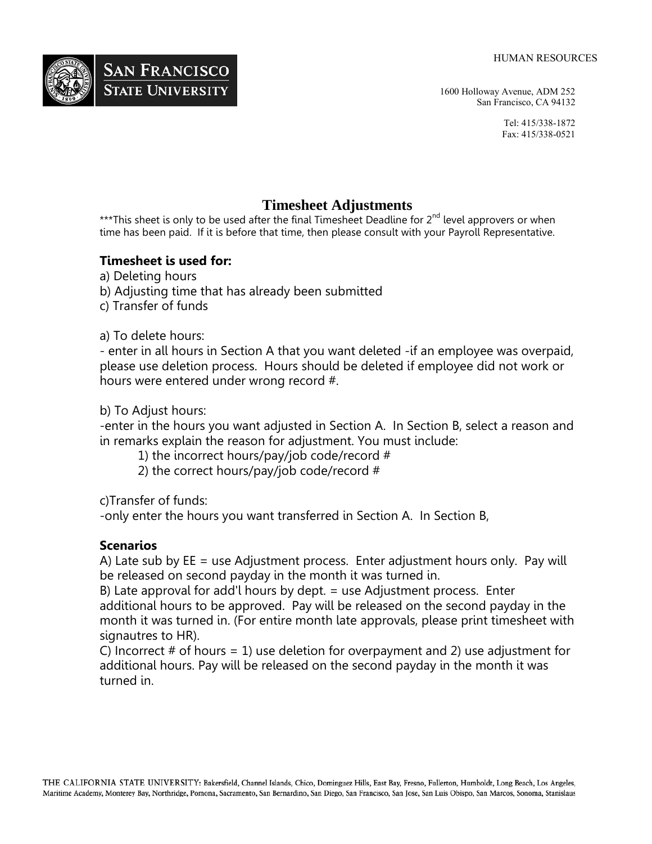

1600 Holloway Avenue, ADM 252 San Francisco, CA 94132

> Tel: 415/338-1872 Fax: 415/338-0521

## **Timesheet Adjustments**

\*\*\*This sheet is only to be used after the final Timesheet Deadline for 2<sup>nd</sup> level approvers or when time has been paid. If it is before that time, then please consult with your Payroll Representative.

## **Timesheet is used for:**

a) Deleting hours

b) Adjusting time that has already been submitted

c) Transfer of funds

## a) To delete hours:

- enter in all hours in Section A that you want deleted -if an employee was overpaid, please use deletion process. Hours should be deleted if employee did not work or hours were entered under wrong record #.

b) To Adjust hours:

-enter in the hours you want adjusted in Section A. In Section B, select a reason and in remarks explain the reason for adjustment. You must include:

1) the incorrect hours/pay/job code/record #

2) the correct hours/pay/job code/record #

c)Transfer of funds:

-only enter the hours you want transferred in Section A. In Section B,

## **Scenarios**

A) Late sub by EE = use Adjustment process. Enter adjustment hours only. Pay will be released on second payday in the month it was turned in.

B) Late approval for add'l hours by dept. = use Adjustment process. Enter additional hours to be approved. Pay will be released on the second payday in the month it was turned in. (For entire month late approvals, please print timesheet with signautres to HR).

C) Incorrect  $#$  of hours = 1) use deletion for overpayment and 2) use adjustment for additional hours. Pay will be released on the second payday in the month it was turned in.